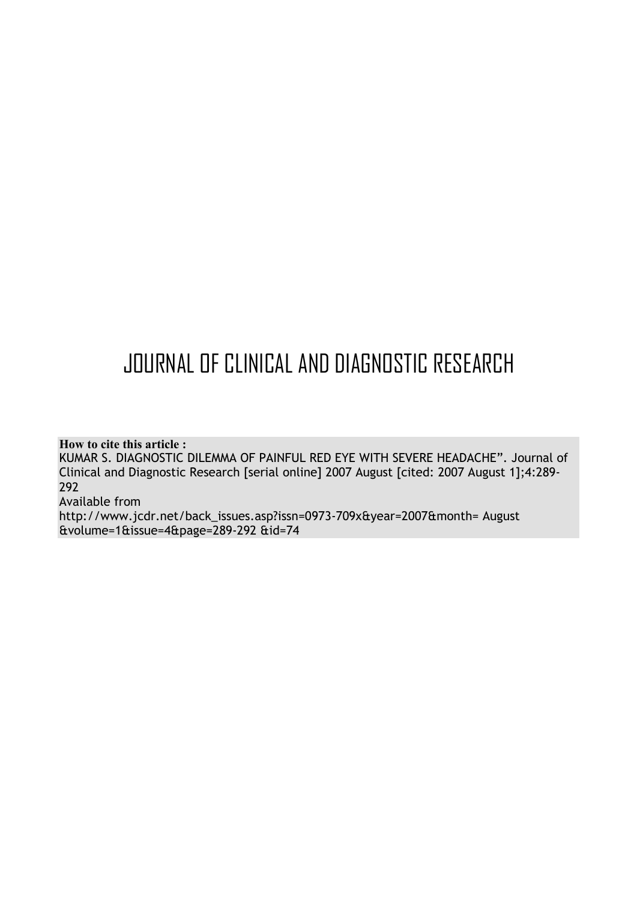# JOURNAL OF CLINICAL AND DIAGNOSTIC RESEARCH

## **How to cite this article :**

KUMAR S. DIAGNOSTIC DILEMMA OF PAINFUL RED EYE WITH SEVERE HEADACHE". Journal of Clinical and Diagnostic Research [serial online] 2007 August [cited: 2007 August 1];4:289- 292

## Available from

http://www.jcdr.net/back\_issues.asp?issn=0973-709x&year=2007&month= August &volume=1&issue=4&page=289-292 &id=74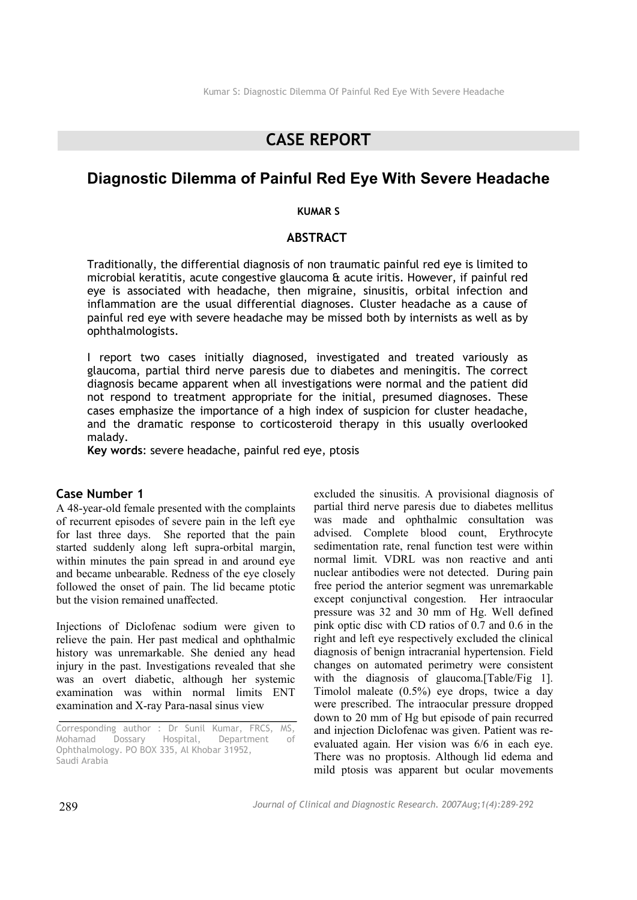## **CASE REPORT**

## **Diagnostic Dilemma of Painful Red Eye With Severe Headache**

#### **KUMAR S**

#### **ABSTRACT**

Traditionally, the differential diagnosis of non traumatic painful red eye is limited to microbial keratitis, acute congestive glaucoma & acute iritis. However, if painful red eye is associated with headache, then migraine, sinusitis, orbital infection and inflammation are the usual differential diagnoses. Cluster headache as a cause of painful red eye with severe headache may be missed both by internists as well as by ophthalmologists.

I report two cases initially diagnosed, investigated and treated variously as glaucoma, partial third nerve paresis due to diabetes and meningitis. The correct diagnosis became apparent when all investigations were normal and the patient did not respond to treatment appropriate for the initial, presumed diagnoses. These cases emphasize the importance of a high index of suspicion for cluster headache, and the dramatic response to corticosteroid therapy in this usually overlooked malady.

**Key words**: severe headache, painful red eye, ptosis

### **Case Number 1**

A 48-year-old female presented with the complaints of recurrent episodes of severe pain in the left eye for last three days. She reported that the pain started suddenly along left supra-orbital margin, within minutes the pain spread in and around eye and became unbearable. Redness of the eye closely followed the onset of pain. The lid became ptotic but the vision remained unaffected.

Injections of Diclofenac sodium were given to relieve the pain. Her past medical and ophthalmic history was unremarkable. She denied any head injury in the past. Investigations revealed that she was an overt diabetic, although her systemic examination was within normal limits ENT examination and X-ray Para-nasal sinus view

excluded the sinusitis. A provisional diagnosis of partial third nerve paresis due to diabetes mellitus was made and ophthalmic consultation was advised. Complete blood count, Erythrocyte sedimentation rate, renal function test were within normal limit. VDRL was non reactive and anti nuclear antibodies were not detected. During pain free period the anterior segment was unremarkable except conjunctival congestion. Her intraocular pressure was 32 and 30 mm of Hg. Well defined pink optic disc with CD ratios of 0.7 and 0.6 in the right and left eye respectively excluded the clinical diagnosis of benign intracranial hypertension. Field changes on automated perimetry were consistent with the diagnosis of glaucoma.[Table/Fig 1]. Timolol maleate (0.5%) eye drops, twice a day were prescribed. The intraocular pressure dropped down to 20 mm of Hg but episode of pain recurred and injection Diclofenac was given. Patient was reevaluated again. Her vision was 6/6 in each eye. There was no proptosis. Although lid edema and mild ptosis was apparent but ocular movements

Corresponding author : Dr Sunil Kumar, FRCS, MS, Mohamad Dossary Hospital, Department of Ophthalmology. PO BOX 335, Al Khobar 31952, Saudi Arabia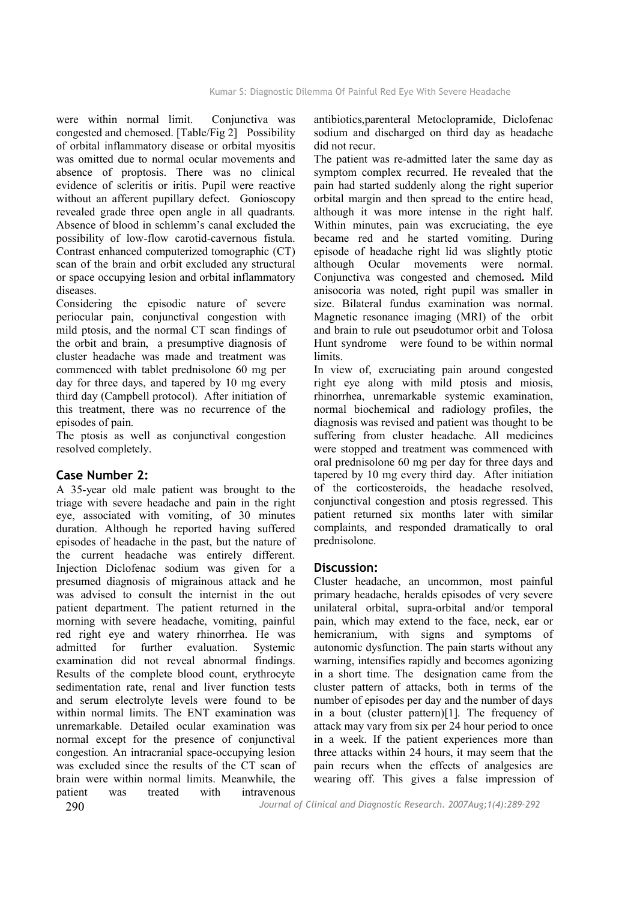were within normal limit. Conjunctiva was congested and chemosed. [Table/Fig 2] Possibility of orbital inflammatory disease or orbital myositis was omitted due to normal ocular movements and absence of proptosis. There was no clinical evidence of scleritis or iritis. Pupil were reactive without an afferent pupillary defect. Gonioscopy revealed grade three open angle in all quadrants. Absence of blood in schlemm's canal excluded the possibility of low-flow carotid-cavernous fistula. Contrast enhanced computerized tomographic (CT) scan of the brain and orbit excluded any structural or space occupying lesion and orbital inflammatory diseases.

Considering the episodic nature of severe periocular pain, conjunctival congestion with mild ptosis, and the normal CT scan findings of the orbit and brain, a presumptive diagnosis of cluster headache was made and treatment was commenced with tablet prednisolone 60 mg per day for three days, and tapered by 10 mg every third day (Campbell protocol). After initiation of this treatment, there was no recurrence of the episodes of pain.

The ptosis as well as conjunctival congestion resolved completely.

## **Case Number 2:**

A 35-year old male patient was brought to the triage with severe headache and pain in the right eye, associated with vomiting, of 30 minutes duration. Although he reported having suffered episodes of headache in the past, but the nature of the current headache was entirely different. Injection Diclofenac sodium was given for a presumed diagnosis of migrainous attack and he was advised to consult the internist in the out patient department. The patient returned in the morning with severe headache, vomiting, painful red right eye and watery rhinorrhea. He was admitted for further evaluation. Systemic examination did not reveal abnormal findings. Results of the complete blood count, erythrocyte sedimentation rate, renal and liver function tests and serum electrolyte levels were found to be within normal limits. The ENT examination was unremarkable. Detailed ocular examination was normal except for the presence of conjunctival congestion. An intracranial space-occupying lesion was excluded since the results of the CT scan of brain were within normal limits. Meanwhile, the patient was treated with intravenous

antibiotics,parenteral Metoclopramide, Diclofenac sodium and discharged on third day as headache did not recur.

The patient was re-admitted later the same day as symptom complex recurred. He revealed that the pain had started suddenly along the right superior orbital margin and then spread to the entire head, although it was more intense in the right half. Within minutes, pain was excruciating, the eye became red and he started vomiting. During episode of headache right lid was slightly ptotic although Ocular movements were normal. Conjunctiva was congested and chemosed**.** Mild anisocoria was noted, right pupil was smaller in size. Bilateral fundus examination was normal. Magnetic resonance imaging (MRI) of the orbit and brain to rule out pseudotumor orbit and Tolosa Hunt syndrome were found to be within normal **limits** 

In view of, excruciating pain around congested right eye along with mild ptosis and miosis, rhinorrhea, unremarkable systemic examination, normal biochemical and radiology profiles, the diagnosis was revised and patient was thought to be suffering from cluster headache. All medicines were stopped and treatment was commenced with oral prednisolone 60 mg per day for three days and tapered by 10 mg every third day. After initiation of the corticosteroids, the headache resolved, conjunctival congestion and ptosis regressed. This patient returned six months later with similar complaints, and responded dramatically to oral prednisolone.

## **Discussion:**

Cluster headache, an uncommon, most painful primary headache, heralds episodes of very severe unilateral orbital, supra-orbital and/or temporal pain, which may extend to the face, neck, ear or hemicranium, with signs and symptoms of autonomic dysfunction. The pain starts without any warning, intensifies rapidly and becomes agonizing in a short time. The designation came from the cluster pattern of attacks, both in terms of the number of episodes per day and the number of days in a bout (cluster pattern)[1]. The frequency of attack may vary from six per 24 hour period to once in a week. If the patient experiences more than three attacks within 24 hours, it may seem that the pain recurs when the effects of analgesics are wearing off. This gives a false impression of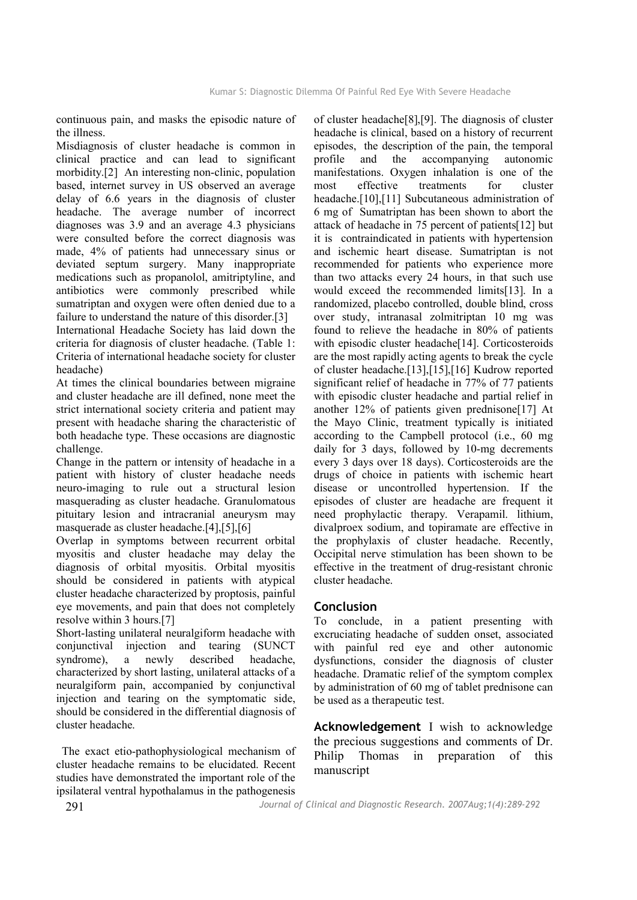continuous pain, and masks the episodic nature of the illness.

Misdiagnosis of cluster headache is common in clinical practice and can lead to significant morbidity.[2] An interesting non-clinic, population based, internet survey in US observed an average delay of 6.6 years in the diagnosis of cluster headache. The average number of incorrect diagnoses was 3.9 and an average 4.3 physicians were consulted before the correct diagnosis was made, 4% of patients had unnecessary sinus or deviated septum surgery. Many inappropriate medications such as propanolol, amitriptyline, and antibiotics were commonly prescribed while sumatriptan and oxygen were often denied due to a failure to understand the nature of this disorder.[3]

International Headache Society has laid down the criteria for diagnosis of cluster headache. (Table 1: Criteria of international headache society for cluster headache)

At times the clinical boundaries between migraine and cluster headache are ill defined, none meet the strict international society criteria and patient may present with headache sharing the characteristic of both headache type. These occasions are diagnostic challenge.

Change in the pattern or intensity of headache in a patient with history of cluster headache needs neuro-imaging to rule out a structural lesion masquerading as cluster headache. Granulomatous pituitary lesion and intracranial aneurysm may masquerade as cluster headache.[4],[5],[6]

Overlap in symptoms between recurrent orbital myositis and cluster headache may delay the diagnosis of orbital myositis. Orbital myositis should be considered in patients with atypical cluster headache characterized by proptosis, painful eye movements, and pain that does not completely resolve within 3 hours.[7]

Short-lasting unilateral neuralgiform headache with conjunctival injection and tearing (SUNCT syndrome), a newly described headache, characterized by short lasting, unilateral attacks of a neuralgiform pain, accompanied by conjunctival injection and tearing on the symptomatic side, should be considered in the differential diagnosis of cluster headache.

 The exact etio-pathophysiological mechanism of cluster headache remains to be elucidated. Recent studies have demonstrated the important role of the ipsilateral ventral hypothalamus in the pathogenesis of cluster headache[8],[9]. The diagnosis of cluster headache is clinical, based on a history of recurrent episodes, the description of the pain, the temporal profile and the accompanying autonomic manifestations. Oxygen inhalation is one of the most effective treatments for cluster headache.[10],[11] Subcutaneous administration of 6 mg of Sumatriptan has been shown to abort the attack of headache in 75 percent of patients[12] but it is contraindicated in patients with hypertension and ischemic heart disease. Sumatriptan is not recommended for patients who experience more than two attacks every 24 hours, in that such use would exceed the recommended limits[13]. In a randomized, placebo controlled, double blind, cross over study, intranasal zolmitriptan 10 mg was found to relieve the headache in 80% of patients with episodic cluster headache<sup>[14]</sup>. Corticosteroids are the most rapidly acting agents to break the cycle of cluster headache.[13],[15],[16] Kudrow reported significant relief of headache in 77% of 77 patients with episodic cluster headache and partial relief in another 12% of patients given prednisone[17] At the Mayo Clinic, treatment typically is initiated according to the Campbell protocol (i.e., 60 mg daily for 3 days, followed by 10-mg decrements every 3 days over 18 days). Corticosteroids are the drugs of choice in patients with ischemic heart disease or uncontrolled hypertension. If the episodes of cluster are headache are frequent it need prophylactic therapy. Verapamil. lithium, divalproex sodium, and topiramate are effective in the prophylaxis of cluster headache. Recently, Occipital nerve stimulation has been shown to be effective in the treatment of drug-resistant chronic cluster headache.

## **Conclusion**

To conclude, in a patient presenting with excruciating headache of sudden onset, associated with painful red eye and other autonomic dysfunctions, consider the diagnosis of cluster headache. Dramatic relief of the symptom complex by administration of 60 mg of tablet prednisone can be used as a therapeutic test.

**Acknowledgement** I wish to acknowledge the precious suggestions and comments of Dr. Philip Thomas in preparation of this manuscript